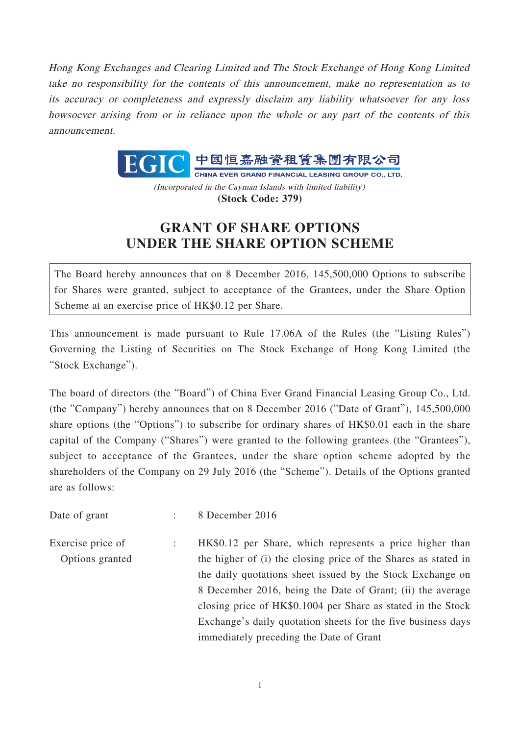Hong Kong Exchanges and Clearing Limited and The Stock Exchange of Hong Kong Limited take no responsibility for the contents of this announcement, make no representation as to its accuracy or completeness and expressly disclaim any liability whatsoever for any loss howsoever arising from or in reliance upon the whole or any part of the contents of this announcement.



(Incorporated in the Cayman Islands with limited liability) **(Stock Code: 379)**

## **GRANT OF SHARE OPTIONS UNDER THE SHARE OPTION SCHEME**

The Board hereby announces that on 8 December 2016, 145,500,000 Options to subscribe for Shares were granted, subject to acceptance of the Grantees, under the Share Option Scheme at an exercise price of HK\$0.12 per Share.

This announcement is made pursuant to Rule 17.06A of the Rules (the "Listing Rules") Governing the Listing of Securities on The Stock Exchange of Hong Kong Limited (the "Stock Exchange").

The board of directors (the "Board") of China Ever Grand Financial Leasing Group Co., Ltd. (the "Company") hereby announces that on 8 December 2016 ("Date of Grant"), 145,500,000 share options (the "Options") to subscribe for ordinary shares of HK\$0.01 each in the share capital of the Company ("Shares") were granted to the following grantees (the "Grantees"), subject to acceptance of the Grantees, under the share option scheme adopted by the shareholders of the Company on 29 July 2016 (the "Scheme"). Details of the Options granted are as follows:

Date of grant : 8 December 2016

Exercise price of Options granted : HK\$0.12 per Share, which represents a price higher than the higher of (i) the closing price of the Shares as stated in the daily quotations sheet issued by the Stock Exchange on 8 December 2016, being the Date of Grant; (ii) the average closing price of HK\$0.1004 per Share as stated in the Stock Exchange's daily quotation sheets for the five business days immediately preceding the Date of Grant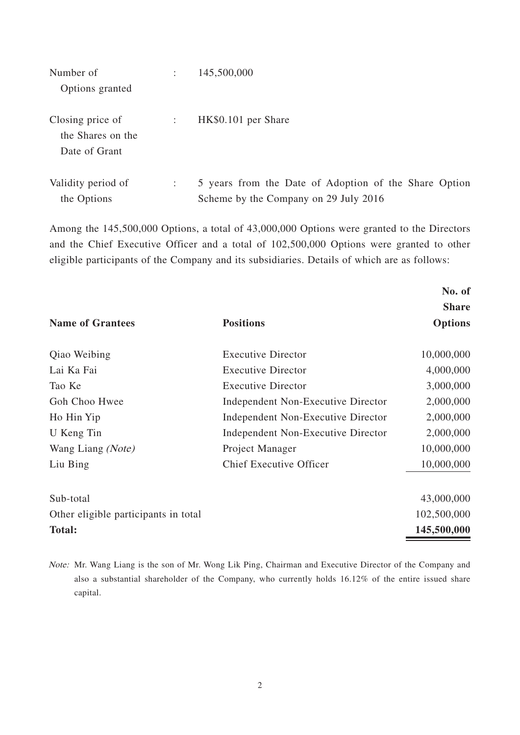| Number of<br>Options granted                           | $\ddot{\phantom{a}}$ | 145,500,000                                                                                    |
|--------------------------------------------------------|----------------------|------------------------------------------------------------------------------------------------|
| Closing price of<br>the Shares on the<br>Date of Grant | $\ddot{\phantom{a}}$ | HK\$0.101 per Share                                                                            |
| Validity period of<br>the Options                      | $\ddot{\phantom{a}}$ | 5 years from the Date of Adoption of the Share Option<br>Scheme by the Company on 29 July 2016 |

Among the 145,500,000 Options, a total of 43,000,000 Options were granted to the Directors and the Chief Executive Officer and a total of 102,500,000 Options were granted to other eligible participants of the Company and its subsidiaries. Details of which are as follows:

|                                      |                                    | No. of         |
|--------------------------------------|------------------------------------|----------------|
|                                      |                                    | <b>Share</b>   |
| <b>Name of Grantees</b>              | <b>Positions</b>                   | <b>Options</b> |
| Qiao Weibing                         | <b>Executive Director</b>          | 10,000,000     |
| Lai Ka Fai                           | <b>Executive Director</b>          | 4,000,000      |
| Tao Ke                               | <b>Executive Director</b>          | 3,000,000      |
| Goh Choo Hwee                        | Independent Non-Executive Director | 2,000,000      |
| Ho Hin Yip                           | Independent Non-Executive Director | 2,000,000      |
| U Keng Tin                           | Independent Non-Executive Director | 2,000,000      |
| Wang Liang (Note)                    | Project Manager                    | 10,000,000     |
| Liu Bing                             | <b>Chief Executive Officer</b>     | 10,000,000     |
| Sub-total                            |                                    | 43,000,000     |
| Other eligible participants in total |                                    | 102,500,000    |
| <b>Total:</b>                        |                                    | 145,500,000    |

Note: Mr. Wang Liang is the son of Mr. Wong Lik Ping, Chairman and Executive Director of the Company and also a substantial shareholder of the Company, who currently holds 16.12% of the entire issued share capital.